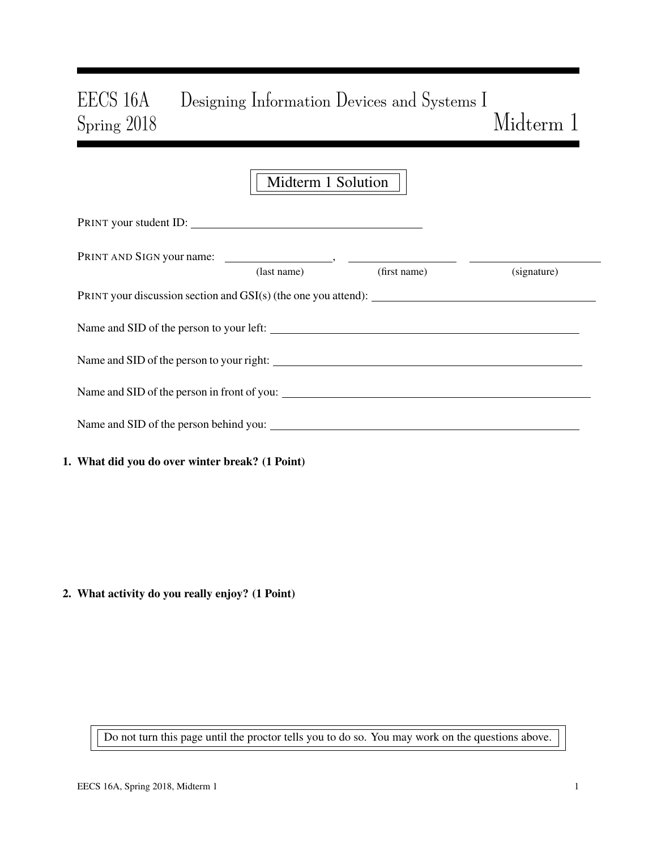# EECS 16A Designing Information Devices and Systems I Spring 2018 Midterm 1

|                                                                  | Midterm 1 Solution |              |             |  |
|------------------------------------------------------------------|--------------------|--------------|-------------|--|
| PRINT your student ID:                                           |                    |              |             |  |
|                                                                  | (last name)        | (first name) | (signature) |  |
| PRINT your discussion section and $GSI(s)$ (the one you attend): |                    |              |             |  |
|                                                                  |                    |              |             |  |
|                                                                  |                    |              |             |  |
|                                                                  |                    |              |             |  |
| Name and SID of the person behind you:                           |                    |              |             |  |
| 1. What did you do over winter break? (1 Point)                  |                    |              |             |  |

2. What activity do you really enjoy? (1 Point)

Do not turn this page until the proctor tells you to do so. You may work on the questions above.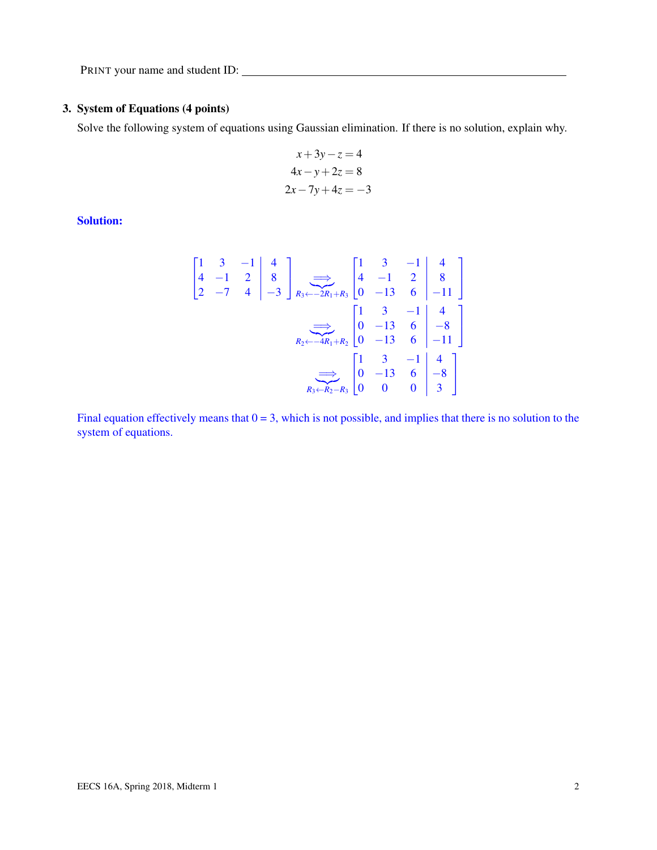# 3. System of Equations (4 points)

Solve the following system of equations using Gaussian elimination. If there is no solution, explain why.

$$
x+3y-z = 4
$$

$$
4x-y+2z = 8
$$

$$
2x-7y+4z = -3
$$

Solution:

$$
\begin{bmatrix} 1 & 3 & -1 & | & 4 \ 4 & -1 & 2 & | & 8 \ 2 & -7 & 4 & | & -3 \ \end{bmatrix} \xrightarrow[R_3 \leftarrow -2R_1 + R_3]{\longrightarrow} \begin{bmatrix} 1 & 3 & -1 & | & 4 \ 4 & -1 & 2 & | & 8 \ 0 & -13 & 6 & | & -11 \ \end{bmatrix}
$$
  
\n
$$
\xrightarrow[R_2 \leftarrow -4R_1 + R_2]{\longrightarrow} \begin{bmatrix} 1 & 3 & -1 & | & 4 \ 0 & -13 & 6 & | & -8 \ 0 & -13 & 6 & | & -11 \ \end{bmatrix}
$$
  
\n
$$
\xrightarrow[R_3 \leftarrow R_2 - R_3]{\longrightarrow} \begin{bmatrix} 1 & 3 & -1 & | & 4 \ 0 & 0 & 0 & | & 3 \ \end{bmatrix}
$$

Final equation effectively means that  $0 = 3$ , which is not possible, and implies that there is no solution to the system of equations.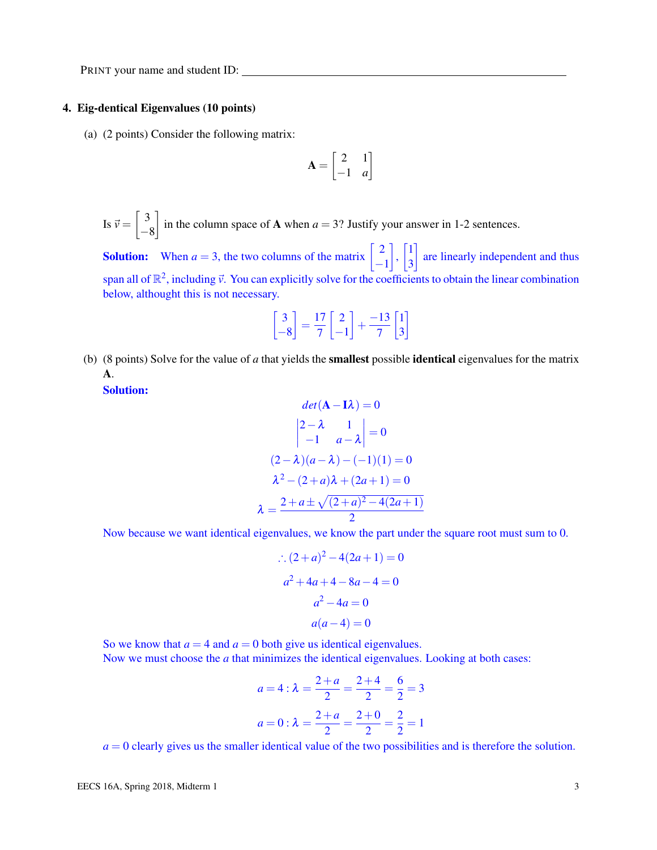### 4. Eig-dentical Eigenvalues (10 points)

(a) (2 points) Consider the following matrix:

$$
\mathbf{A} = \begin{bmatrix} 2 & 1 \\ -1 & a \end{bmatrix}
$$

Is  $\vec{v} = \begin{bmatrix} 3 \\ 4 \end{bmatrix}$ −8 in the column space of **A** when  $a = 3$ ? Justify your answer in 1-2 sentences.

**Solution:** When  $a = 3$ , the two columns of the matrix  $\begin{bmatrix} 2 \end{bmatrix}$ −1  $\Big\}$ ,  $\Big\}$ 3 are linearly independent and thus span all of  $\mathbb{R}^2$ , including  $\vec{v}$ . You can explicitly solve for the coefficients to obtain the linear combination below, althought this is not necessary.

$$
\begin{bmatrix} 3 \\ -8 \end{bmatrix} = \frac{17}{7} \begin{bmatrix} 2 \\ -1 \end{bmatrix} + \frac{-13}{7} \begin{bmatrix} 1 \\ 3 \end{bmatrix}
$$

(b) (8 points) Solve for the value of *a* that yields the smallest possible identical eigenvalues for the matrix A.

Solution:

$$
det(\mathbf{A} - \mathbf{I}\lambda) = 0
$$

$$
\begin{vmatrix} 2 - \lambda & 1 \\ -1 & a - \lambda \end{vmatrix} = 0
$$

$$
(2 - \lambda)(a - \lambda) - (-1)(1) = 0
$$

$$
\lambda^2 - (2 + a)\lambda + (2a + 1) = 0
$$

$$
\lambda = \frac{2 + a \pm \sqrt{(2 + a)^2 - 4(2a + 1)}}{2}
$$

Now because we want identical eigenvalues, we know the part under the square root must sum to 0.

$$
(2+a)^{2}-4(2a+1) = 0
$$
  

$$
a^{2}+4a+4-8a-4=0
$$
  

$$
a^{2}-4a=0
$$
  

$$
a(a-4) = 0
$$

So we know that  $a = 4$  and  $a = 0$  both give us identical eigenvalues. Now we must choose the *a* that minimizes the identical eigenvalues. Looking at both cases:

$$
a = 4 : \lambda = \frac{2+a}{2} = \frac{2+4}{2} = \frac{6}{2} = 3
$$

$$
a = 0 : \lambda = \frac{2+a}{2} = \frac{2+0}{2} = \frac{2}{2} = 1
$$

 $a = 0$  clearly gives us the smaller identical value of the two possibilities and is therefore the solution.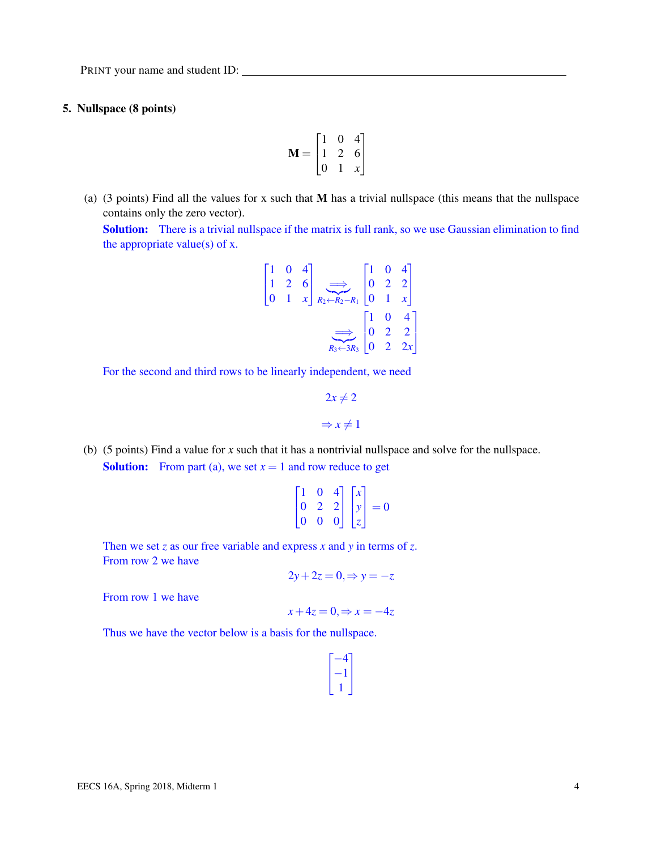# 5. Nullspace (8 points)

$$
\mathbf{M} = \begin{bmatrix} 1 & 0 & 4 \\ 1 & 2 & 6 \\ 0 & 1 & x \end{bmatrix}
$$

(a) (3 points) Find all the values for x such that  $M$  has a trivial nullspace (this means that the nullspace contains only the zero vector).

Solution: There is a trivial nullspace if the matrix is full rank, so we use Gaussian elimination to find the appropriate value(s) of  $x$ .

$$
\begin{bmatrix} 1 & 0 & 4 \ 1 & 2 & 6 \ 0 & 1 & x \end{bmatrix} \xrightarrow[R_2 - R_1]{\Longrightarrow} \begin{bmatrix} 1 & 0 & 4 \ 0 & 2 & 2 \ 0 & 1 & x \end{bmatrix}
$$

$$
\xrightarrow[R_3 \leftarrow 3R_3]{\Longrightarrow} \begin{bmatrix} 1 & 0 & 4 \ 0 & 2 & 2 \ 0 & 2 & 2x \end{bmatrix}
$$

For the second and third rows to be linearly independent, we need

$$
2x \neq 2
$$
  

$$
\Rightarrow x \neq 1
$$

(b) (5 points) Find a value for *x* such that it has a nontrivial nullspace and solve for the nullspace. **Solution:** From part (a), we set  $x = 1$  and row reduce to get

$$
\begin{bmatrix} 1 & 0 & 4 \\ 0 & 2 & 2 \\ 0 & 0 & 0 \end{bmatrix} \begin{bmatrix} x \\ y \\ z \end{bmatrix} = 0
$$

Then we set *z* as our free variable and express *x* and *y* in terms of *z*. From row 2 we have

 $2y+2z=0$ ,  $\Rightarrow y=-z$ 

From row 1 we have

$$
x+4z=0, \Rightarrow x=-4z
$$

Thus we have the vector below is a basis for the nullspace.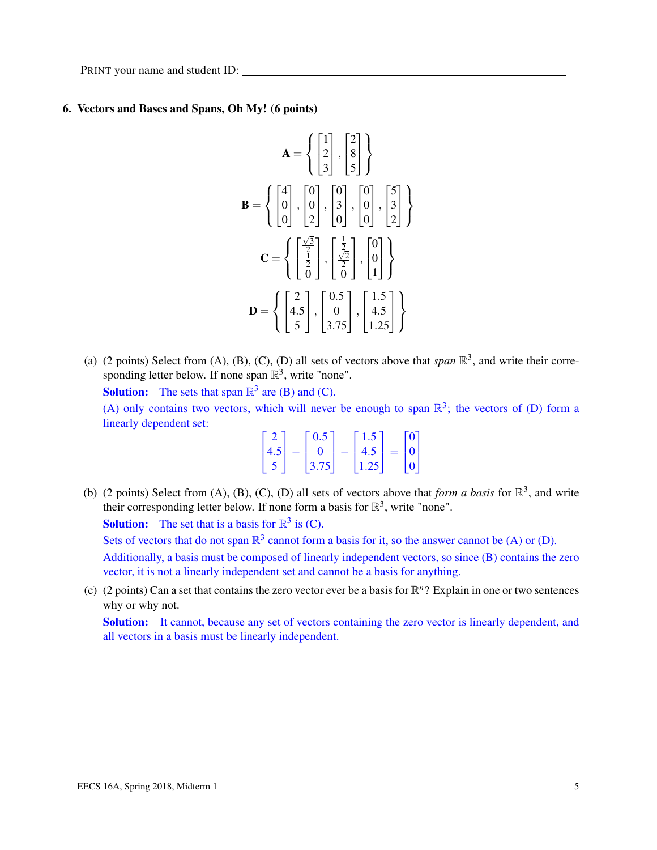# 6. Vectors and Bases and Spans, Oh My! (6 points)

$$
\mathbf{A} = \left\{ \begin{bmatrix} 1 \\ 2 \\ 3 \end{bmatrix}, \begin{bmatrix} 2 \\ 8 \\ 5 \end{bmatrix} \right\}
$$

$$
\mathbf{B} = \left\{ \begin{bmatrix} 4 \\ 0 \\ 0 \end{bmatrix}, \begin{bmatrix} 0 \\ 0 \\ 2 \end{bmatrix}, \begin{bmatrix} 0 \\ 3 \\ 0 \end{bmatrix}, \begin{bmatrix} 0 \\ 0 \\ 0 \end{bmatrix}, \begin{bmatrix} 5 \\ 3 \\ 2 \end{bmatrix} \right\}
$$

$$
\mathbf{C} = \left\{ \begin{bmatrix} \frac{\sqrt{3}}{2} \\ \frac{1}{2} \\ 0 \end{bmatrix}, \begin{bmatrix} \frac{1}{2} \\ \frac{\sqrt{2}}{2} \\ 0 \end{bmatrix}, \begin{bmatrix} 0 \\ 0 \\ 1 \end{bmatrix} \right\}
$$

$$
\mathbf{D} = \left\{ \begin{bmatrix} 2 \\ 4.5 \\ 5 \end{bmatrix}, \begin{bmatrix} 0.5 \\ 0 \\ 3.75 \end{bmatrix}, \begin{bmatrix} 1.5 \\ 4.5 \\ 1.25 \end{bmatrix} \right\}
$$

(a) (2 points) Select from (A), (B), (C), (D) all sets of vectors above that *span*  $\mathbb{R}^3$ , and write their corresponding letter below. If none span  $\mathbb{R}^3$ , write "none".

**Solution:** The sets that span  $\mathbb{R}^3$  are (B) and (C). (A) only contains two vectors, which will never be enough to span  $\mathbb{R}^3$ ; the vectors of (D) form a linearly dependent set:

|     | 0.5    | $1.5-1$ |   | $^{\circ}$ |
|-----|--------|---------|---|------------|
| 4.5 |        | 4.5     | = | $^{\circ}$ |
|     | 3.75 l | 1.251   |   |            |

(b) (2 points) Select from (A), (B), (C), (D) all sets of vectors above that *form a basis* for  $\mathbb{R}^3$ , and write their corresponding letter below. If none form a basis for  $\mathbb{R}^3$ , write "none".

**Solution:** The set that is a basis for  $\mathbb{R}^3$  is (C).

Sets of vectors that do not span  $\mathbb{R}^3$  cannot form a basis for it, so the answer cannot be (A) or (D).

Additionally, a basis must be composed of linearly independent vectors, so since (B) contains the zero vector, it is not a linearly independent set and cannot be a basis for anything.

(c) (2 points) Can a set that contains the zero vector ever be a basis for  $\mathbb{R}^n$ ? Explain in one or two sentences why or why not.

Solution: It cannot, because any set of vectors containing the zero vector is linearly dependent, and all vectors in a basis must be linearly independent.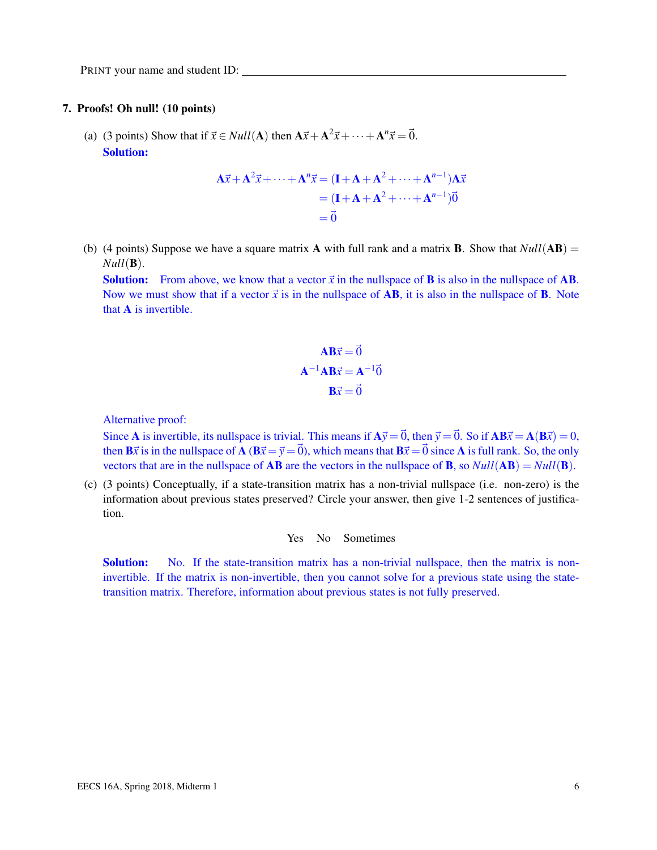#### 7. Proofs! Oh null! (10 points)

(a) (3 points) Show that if  $\vec{x} \in Null(A)$  then  $A\vec{x} + A^2\vec{x} + \cdots + A^n\vec{x} = \vec{0}$ . Solution:

$$
\mathbf{A}\vec{x} + \mathbf{A}^2 \vec{x} + \dots + \mathbf{A}^n \vec{x} = (\mathbf{I} + \mathbf{A} + \mathbf{A}^2 + \dots + \mathbf{A}^{n-1}) \mathbf{A}\vec{x}
$$
  
= (\mathbf{I} + \mathbf{A} + \mathbf{A}^2 + \dots + \mathbf{A}^{n-1})\vec{0}  
= \vec{0}

(b) (4 points) Suppose we have a square matrix **A** with full rank and a matrix **B**. Show that  $Null(AB) =$  $Null(\mathbf{B}).$ 

**Solution:** From above, we know that a vector  $\vec{x}$  in the nullspace of **B** is also in the nullspace of **AB**. Now we must show that if a vector  $\vec{x}$  is in the nullspace of **AB**, it is also in the nullspace of **B**. Note that A is invertible.

$$
\mathbf{AB}\vec{x} = \vec{0}
$$

$$
\mathbf{A}^{-1}\mathbf{AB}\vec{x} = \mathbf{A}^{-1}\vec{0}
$$

$$
\mathbf{B}\vec{x} = \vec{0}
$$

Alternative proof:

Since **A** is invertible, its nullspace is trivial. This means if  $A\vec{y} = \vec{0}$ , then  $\vec{y} = \vec{0}$ . So if  $AB\vec{x} = A(B\vec{x}) = 0$ , then  $\vec{B}\vec{x}$  is in the nullspace of  $\vec{A}$  ( $\vec{B}\vec{x} = \vec{v} = \vec{0}$ ), which means that  $\vec{B}\vec{x} = \vec{0}$  since  $\vec{A}$  is full rank. So, the only vectors that are in the nullspace of **AB** are the vectors in the nullspace of **B**, so  $Null(AB) = Null(B)$ .

(c) (3 points) Conceptually, if a state-transition matrix has a non-trivial nullspace (i.e. non-zero) is the information about previous states preserved? Circle your answer, then give 1-2 sentences of justification.

Yes No Sometimes

**Solution:** No. If the state-transition matrix has a non-trivial nullspace, then the matrix is noninvertible. If the matrix is non-invertible, then you cannot solve for a previous state using the statetransition matrix. Therefore, information about previous states is not fully preserved.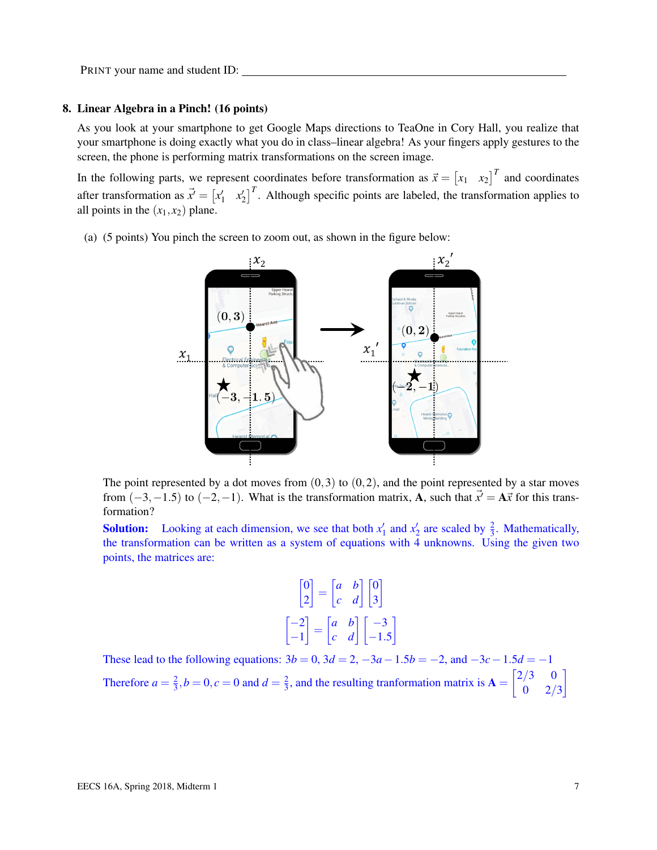#### 8. Linear Algebra in a Pinch! (16 points)

As you look at your smartphone to get Google Maps directions to TeaOne in Cory Hall, you realize that your smartphone is doing exactly what you do in class–linear algebra! As your fingers apply gestures to the screen, the phone is performing matrix transformations on the screen image.

In the following parts, we represent coordinates before transformation as  $\vec{x} = \begin{bmatrix} x_1 & x_2 \end{bmatrix}^T$  and coordinates after transformation as  $\vec{x}' = \begin{bmatrix} x'_1 & x'_2 \end{bmatrix}^T$ . Although specific points are labeled, the transformation applies to all points in the  $(x_1, x_2)$  plane.

(a) (5 points) You pinch the screen to zoom out, as shown in the figure below:



The point represented by a dot moves from  $(0,3)$  to  $(0,2)$ , and the point represented by a star moves from  $(-3, -1.5)$  to  $(-2, -1)$ . What is the transformation matrix, **A**, such that  $\vec{x}' = \mathbf{A}\vec{x}$  for this transformation?

**Solution:** Looking at each dimension, we see that both  $x'_1$  and  $x'_2$  are scaled by  $\frac{2}{3}$ . Mathematically, the transformation can be written as a system of equations with 4 unknowns. Using the given two points, the matrices are:

$$
\begin{bmatrix} 0 \\ 2 \end{bmatrix} = \begin{bmatrix} a & b \\ c & d \end{bmatrix} \begin{bmatrix} 0 \\ 3 \end{bmatrix}
$$

$$
\begin{bmatrix} -2 \\ -1 \end{bmatrix} = \begin{bmatrix} a & b \\ c & d \end{bmatrix} \begin{bmatrix} -3 \\ -1.5 \end{bmatrix}
$$

These lead to the following equations:  $3b = 0$ ,  $3d = 2$ ,  $-3a - 1.5b = -2$ , and  $-3c - 1.5d = -1$ Therefore  $a = \frac{2}{3}$  $\frac{2}{3}$ ,  $b = 0$ ,  $c = 0$  and  $d = \frac{2}{3}$  $\frac{2}{3}$ , and the resulting tranformation matrix is  $\mathbf{A} = \begin{bmatrix} 2/3 & 0 \\ 0 & 2/3 \end{bmatrix}$  $0 \t 2/3$ 1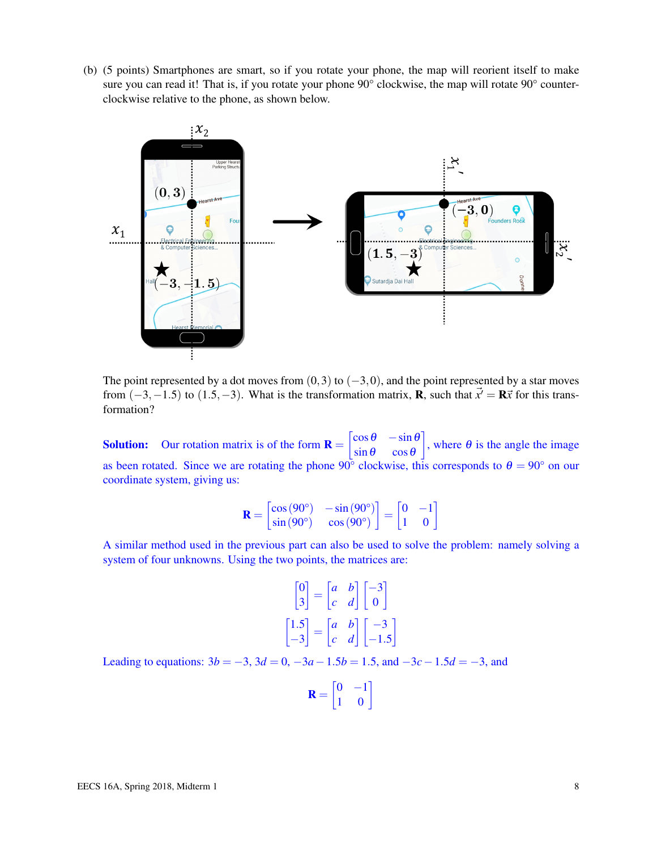(b) (5 points) Smartphones are smart, so if you rotate your phone, the map will reorient itself to make sure you can read it! That is, if you rotate your phone 90° clockwise, the map will rotate 90° counterclockwise relative to the phone, as shown below.



The point represented by a dot moves from  $(0,3)$  to  $(-3,0)$ , and the point represented by a star moves from  $(-3, -1.5)$  to  $(1.5, -3)$ . What is the transformation matrix, **R**, such that  $\vec{x}' = \mathbf{R}\vec{x}$  for this transformation?

**Solution:** Our rotation matrix is of the form  $\mathbf{R} = \begin{bmatrix} \cos \theta & -\sin \theta \\ \sin \theta & \cos \theta \end{bmatrix}$  $\sin \theta$  cos  $\theta$ , where  $\theta$  is the angle the image as been rotated. Since we are rotating the phone  $90^{\circ}$  clockwise, this corresponds to  $\theta = 90^{\circ}$  on our coordinate system, giving us:

$$
\mathbf{R} = \begin{bmatrix} \cos(90^\circ) & -\sin(90^\circ) \\ \sin(90^\circ) & \cos(90^\circ) \end{bmatrix} = \begin{bmatrix} 0 & -1 \\ 1 & 0 \end{bmatrix}
$$

A similar method used in the previous part can also be used to solve the problem: namely solving a system of four unknowns. Using the two points, the matrices are:

$$
\begin{bmatrix} 0 \\ 3 \end{bmatrix} = \begin{bmatrix} a & b \\ c & d \end{bmatrix} \begin{bmatrix} -3 \\ 0 \end{bmatrix}
$$

$$
\begin{bmatrix} 1.5 \\ -3 \end{bmatrix} = \begin{bmatrix} a & b \\ c & d \end{bmatrix} \begin{bmatrix} -3 \\ -1.5 \end{bmatrix}
$$

Leading to equations:  $3b = -3$ ,  $3d = 0$ ,  $-3a - 1.5b = 1.5$ , and  $-3c - 1.5d = -3$ , and

| - 12 | $\mathbf{D}$ |                   |
|------|--------------|-------------------|
|      |              | $\mathbf{\Omega}$ |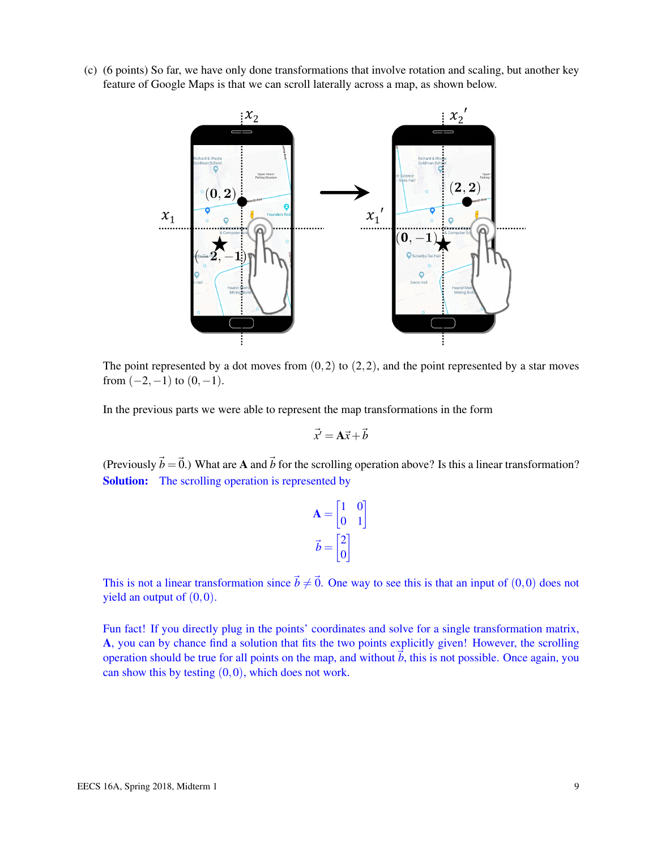(c) (6 points) So far, we have only done transformations that involve rotation and scaling, but another key feature of Google Maps is that we can scroll laterally across a map, as shown below.



The point represented by a dot moves from  $(0,2)$  to  $(2,2)$ , and the point represented by a star moves from  $(-2,-1)$  to  $(0,-1)$ .

In the previous parts we were able to represent the map transformations in the form

$$
\vec{x}' = \mathbf{A}\vec{x} + \vec{b}
$$

(Previously  $\vec{b} = \vec{0}$ .) What are A and  $\vec{b}$  for the scrolling operation above? Is this a linear transformation? Solution: The scrolling operation is represented by

$$
\mathbf{A} = \begin{bmatrix} 1 & 0 \\ 0 & 1 \end{bmatrix}
$$

$$
\vec{b} = \begin{bmatrix} 2 \\ 0 \end{bmatrix}
$$

This is not a linear transformation since  $\vec{b} \neq \vec{0}$ . One way to see this is that an input of (0,0) does not yield an output of  $(0,0)$ .

Fun fact! If you directly plug in the points' coordinates and solve for a single transformation matrix, A, you can by chance find a solution that fits the two points explicitly given! However, the scrolling operation should be true for all points on the map, and without  $\dot{b}$ , this is not possible. Once again, you can show this by testing  $(0,0)$ , which does not work.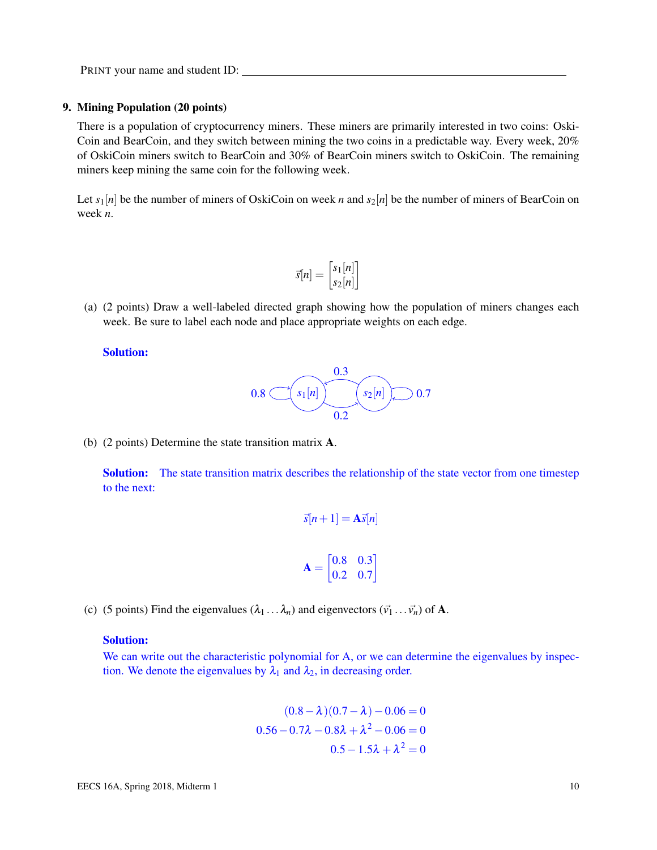# 9. Mining Population (20 points)

There is a population of cryptocurrency miners. These miners are primarily interested in two coins: Oski-Coin and BearCoin, and they switch between mining the two coins in a predictable way. Every week, 20% of OskiCoin miners switch to BearCoin and 30% of BearCoin miners switch to OskiCoin. The remaining miners keep mining the same coin for the following week.

Let  $s_1[n]$  be the number of miners of OskiCoin on week *n* and  $s_2[n]$  be the number of miners of BearCoin on week *n*.

$$
\vec{s}[n] = \begin{bmatrix} s_1[n] \\ s_2[n] \end{bmatrix}
$$

(a) (2 points) Draw a well-labeled directed graph showing how the population of miners changes each week. Be sure to label each node and place appropriate weights on each edge.

## Solution:



(b) (2 points) Determine the state transition matrix A.

**Solution:** The state transition matrix describes the relationship of the state vector from one timestep to the next:

$$
\vec{s}[n+1] = \mathbf{A}\vec{s}[n]
$$

$$
\mathbf{A} = \begin{bmatrix} 0.8 & 0.3\\ 0.2 & 0.7 \end{bmatrix}
$$

(c) (5 points) Find the eigenvalues  $(\lambda_1 \dots \lambda_n)$  and eigenvectors  $(\vec{v}_1 \dots \vec{v}_n)$  of A.

# Solution:

We can write out the characteristic polynomial for A, or we can determine the eigenvalues by inspection. We denote the eigenvalues by  $\lambda_1$  and  $\lambda_2$ , in decreasing order.

$$
(0.8 - \lambda)(0.7 - \lambda) - 0.06 = 0
$$
  
0.56 - 0.7 $\lambda$  - 0.8 $\lambda$  +  $\lambda$ <sup>2</sup> - 0.06 = 0  
0.5 - 1.5 $\lambda$  +  $\lambda$ <sup>2</sup> = 0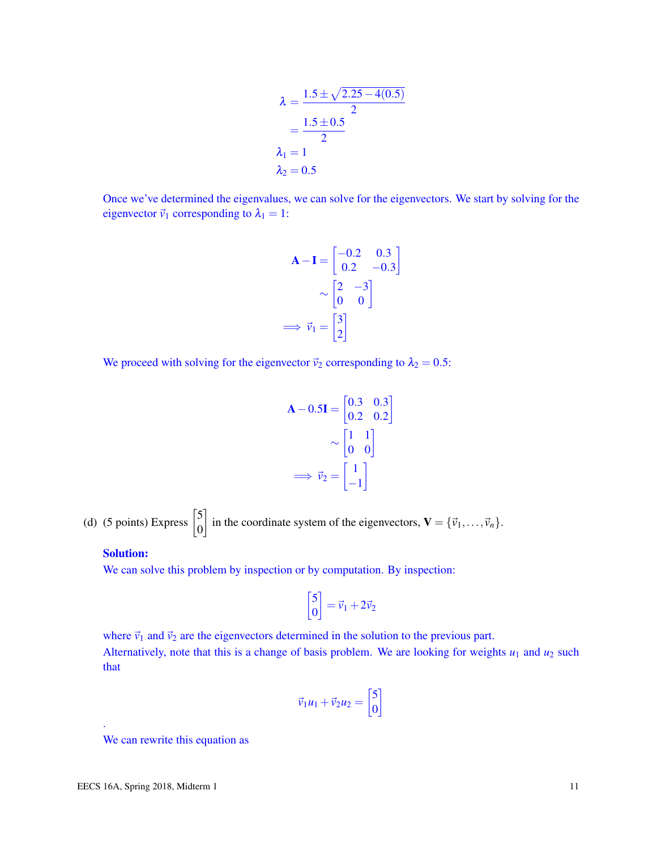$$
\lambda = \frac{1.5 \pm \sqrt{2.25 - 4(0.5)}}{2}
$$
  
= 
$$
\frac{1.5 \pm 0.5}{2}
$$
  

$$
\lambda_1 = 1
$$
  

$$
\lambda_2 = 0.5
$$

Once we've determined the eigenvalues, we can solve for the eigenvectors. We start by solving for the eigenvector  $\vec{v}_1$  corresponding to  $\lambda_1 = 1$ :

$$
\mathbf{A} - \mathbf{I} = \begin{bmatrix} -0.2 & 0.3\\ 0.2 & -0.3 \end{bmatrix}
$$

$$
\sim \begin{bmatrix} 2 & -3\\ 0 & 0 \end{bmatrix}
$$

$$
\implies \vec{v}_1 = \begin{bmatrix} 3\\ 2 \end{bmatrix}
$$

We proceed with solving for the eigenvector  $\vec{v}_2$  corresponding to  $\lambda_2 = 0.5$ :

$$
\mathbf{A} - 0.5\mathbf{I} = \begin{bmatrix} 0.3 & 0.3\\ 0.2 & 0.2 \end{bmatrix}
$$

$$
\sim \begin{bmatrix} 1 & 1\\ 0 & 0 \end{bmatrix}
$$

$$
\implies \vec{v}_2 = \begin{bmatrix} 1\\ -1 \end{bmatrix}
$$

(d) (5 points) Express  $\begin{bmatrix} 5 \\ 0 \end{bmatrix}$ 0 in the coordinate system of the eigenvectors,  $\mathbf{V} = {\vec{v}_1, ..., \vec{v}_n}.$ 

# Solution:

We can solve this problem by inspection or by computation. By inspection:

$$
\begin{bmatrix} 5 \\ 0 \end{bmatrix} = \vec{v}_1 + 2\vec{v}_2
$$

where  $\vec{v}_1$  and  $\vec{v}_2$  are the eigenvectors determined in the solution to the previous part. Alternatively, note that this is a change of basis problem. We are looking for weights  $u_1$  and  $u_2$  such that

$$
\vec{v}_1 u_1 + \vec{v}_2 u_2 = \begin{bmatrix} 5 \\ 0 \end{bmatrix}
$$

We can rewrite this equation as

.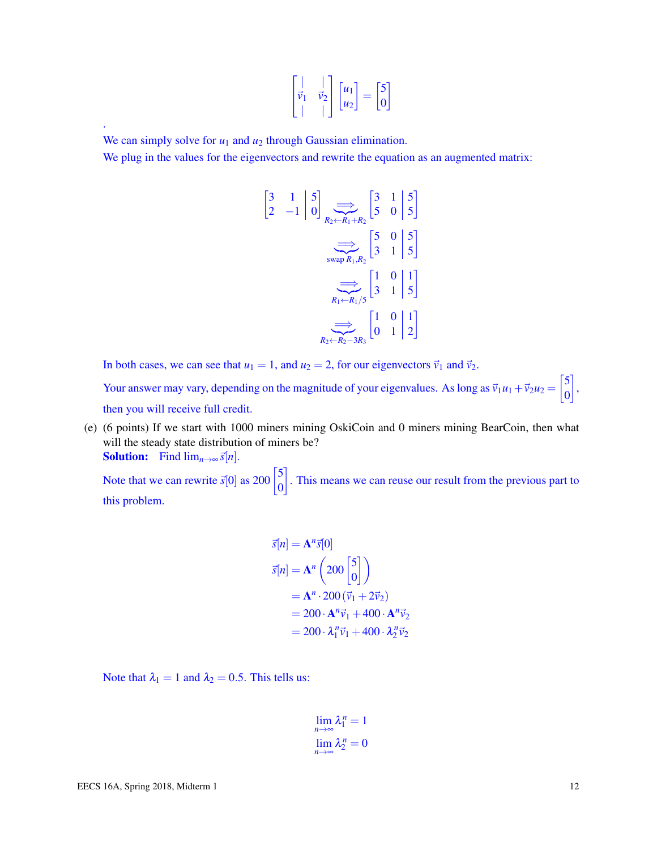$$
\begin{bmatrix} | & | \\ \vec{v}_1 & \vec{v}_2 \\ | & | \end{bmatrix} \begin{bmatrix} u_1 \\ u_2 \end{bmatrix} = \begin{bmatrix} 5 \\ 0 \end{bmatrix}
$$

We can simply solve for  $u_1$  and  $u_2$  through Gaussian elimination.

.

We plug in the values for the eigenvectors and rewrite the equation as an augmented matrix:

$$
\begin{bmatrix} 3 & 1 & | & 5 \ 2 & -1 & | & 0 \end{bmatrix} \xrightarrow[R_2 \leftarrow R_1 + R_2]{\Longrightarrow} \begin{bmatrix} 3 & 1 & | & 5 \ 5 & 0 & | & 5 \end{bmatrix}
$$
  
\n
$$
\xrightarrow[\text{swap } R_1, R_2]{\Longrightarrow} \begin{bmatrix} 5 & 0 & | & 5 \ 3 & 1 & | & 5 \end{bmatrix}
$$
  
\n
$$
\xrightarrow[R_1 \leftarrow R_1/5]{\Longrightarrow} \begin{bmatrix} 1 & 0 & | & 1 \ 3 & 1 & | & 5 \end{bmatrix}
$$
  
\n
$$
\xrightarrow[R_2 \leftarrow R_2 - 3R_3]{\Longrightarrow} \begin{bmatrix} 1 & 0 & | & 1 \ 0 & 1 & | & 2 \end{bmatrix}
$$

In both cases, we can see that  $u_1 = 1$ , and  $u_2 = 2$ , for our eigenvectors  $\vec{v}_1$  and  $\vec{v}_2$ .

Your answer may vary, depending on the magnitude of your eigenvalues. As long as  $\vec{v}_1u_1+\vec{v}_2u_2 = \begin{bmatrix} 5 & 0 \\ 0 & 0 \end{bmatrix}$ 0 , then you will receive full credit.

(e) (6 points) If we start with 1000 miners mining OskiCoin and 0 miners mining BearCoin, then what will the steady state distribution of miners be? **Solution:** Find  $\lim_{n\to\infty}$   $\vec{s}[n]$ .

Note that we can rewrite  $\vec{s}[0]$  as 200  $\begin{bmatrix} 5 \\ 0 \end{bmatrix}$ 0 . This means we can reuse our result from the previous part to this problem.

$$
\vec{s}[n] = \mathbf{A}^n \vec{s}[0]
$$
  
\n
$$
\vec{s}[n] = \mathbf{A}^n \begin{pmatrix} 200 \\ 0 \end{pmatrix}
$$
  
\n
$$
= \mathbf{A}^n \cdot 200 \left( \vec{v}_1 + 2 \vec{v}_2 \right)
$$
  
\n
$$
= 200 \cdot \mathbf{A}^n \vec{v}_1 + 400 \cdot \mathbf{A}^n \vec{v}_2
$$
  
\n
$$
= 200 \cdot \lambda_1^n \vec{v}_1 + 400 \cdot \lambda_2^n \vec{v}_2
$$

Note that  $\lambda_1 = 1$  and  $\lambda_2 = 0.5$ . This tells us:

$$
\lim_{n \to \infty} \lambda_1^n = 1
$$
  

$$
\lim_{n \to \infty} \lambda_2^n = 0
$$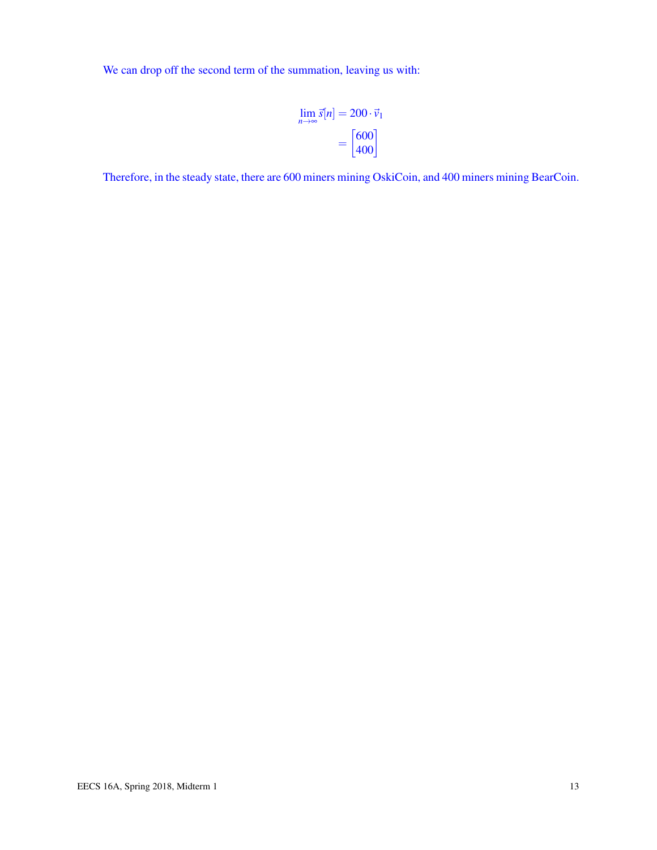We can drop off the second term of the summation, leaving us with:

$$
\lim_{n \to \infty} \vec{s}[n] = 200 \cdot \vec{v}_1
$$

$$
= \begin{bmatrix} 600 \\ 400 \end{bmatrix}
$$

Therefore, in the steady state, there are 600 miners mining OskiCoin, and 400 miners mining BearCoin.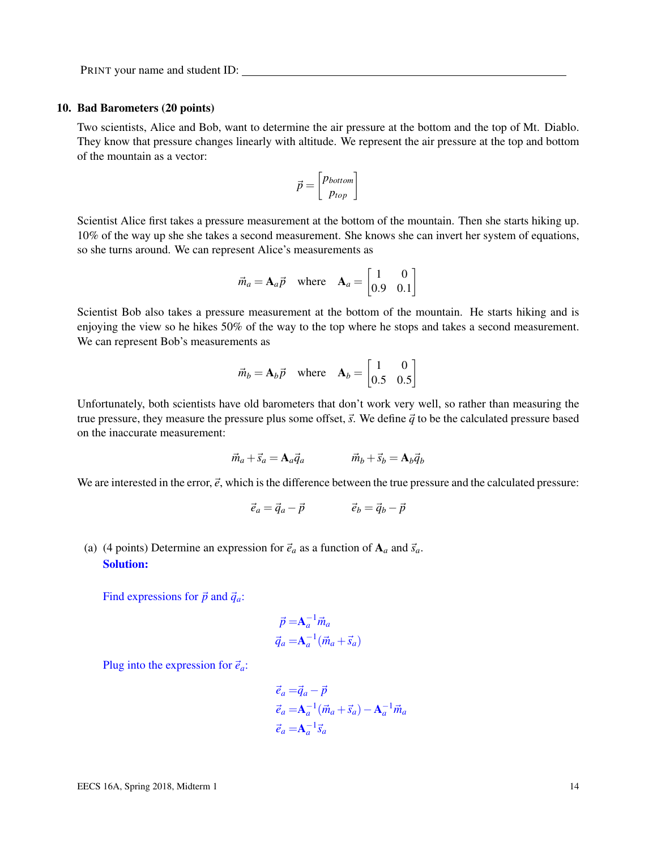#### 10. Bad Barometers (20 points)

Two scientists, Alice and Bob, want to determine the air pressure at the bottom and the top of Mt. Diablo. They know that pressure changes linearly with altitude. We represent the air pressure at the top and bottom of the mountain as a vector:

$$
\vec{p} = \begin{bmatrix} p_{bottom} \\ p_{top} \end{bmatrix}
$$

Scientist Alice first takes a pressure measurement at the bottom of the mountain. Then she starts hiking up. 10% of the way up she she takes a second measurement. She knows she can invert her system of equations, so she turns around. We can represent Alice's measurements as

$$
\vec{m}_a = \mathbf{A}_a \vec{p} \quad \text{where} \quad \mathbf{A}_a = \begin{bmatrix} 1 & 0 \\ 0.9 & 0.1 \end{bmatrix}
$$

Scientist Bob also takes a pressure measurement at the bottom of the mountain. He starts hiking and is enjoying the view so he hikes 50% of the way to the top where he stops and takes a second measurement. We can represent Bob's measurements as

$$
\vec{m}_b = \mathbf{A}_b \vec{p} \quad \text{where} \quad \mathbf{A}_b = \begin{bmatrix} 1 & 0 \\ 0.5 & 0.5 \end{bmatrix}
$$

Unfortunately, both scientists have old barometers that don't work very well, so rather than measuring the true pressure, they measure the pressure plus some offset,  $\vec{s}$ . We define  $\vec{q}$  to be the calculated pressure based on the inaccurate measurement:

$$
\vec{m}_a + \vec{s}_a = A_a \vec{q}_a \qquad \qquad \vec{m}_b + \vec{s}_b = A_b \vec{q}_b
$$

We are interested in the error,  $\vec{e}$ , which is the difference between the true pressure and the calculated pressure:

$$
\vec{e}_a = \vec{q}_a - \vec{p} \qquad \qquad \vec{e}_b = \vec{q}_b - \vec{p}
$$

(a) (4 points) Determine an expression for  $\vec{e}_a$  as a function of  $A_a$  and  $\vec{s}_a$ . Solution:

Find expressions for  $\vec{p}$  and  $\vec{q}_a$ :

$$
\vec{p} = \mathbf{A}_a^{-1} \vec{m}_a
$$
  

$$
\vec{q}_a = \mathbf{A}_a^{-1} (\vec{m}_a + \vec{s}_a)
$$

Plug into the expression for  $\vec{e}_a$ :

$$
\vec{e}_a = \vec{q}_a - \vec{p}
$$
  
\n
$$
\vec{e}_a = \mathbf{A}_a^{-1} (\vec{m}_a + \vec{s}_a) - \mathbf{A}_a^{-1} \vec{m}_a
$$
  
\n
$$
\vec{e}_a = \mathbf{A}_a^{-1} \vec{s}_a
$$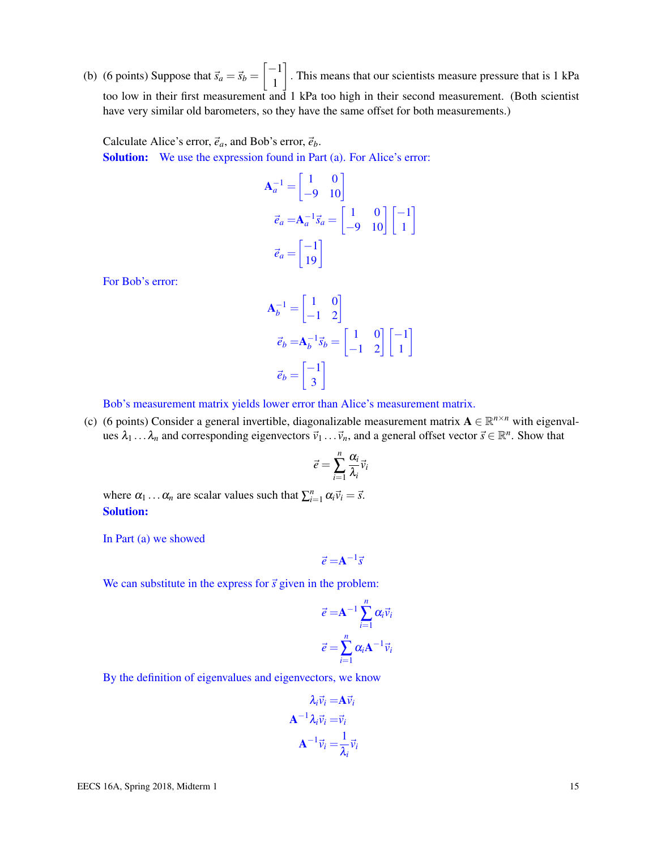(b) (6 points) Suppose that  $\vec{s}_a = \vec{s}_b = \begin{bmatrix} -1 \\ 1 \end{bmatrix}$ 1 . This means that our scientists measure pressure that is 1 kPa too low in their first measurement and 1 kPa too high in their second measurement. (Both scientist have very similar old barometers, so they have the same offset for both measurements.)

Calculate Alice's error,  $\vec{e}_a$ , and Bob's error,  $\vec{e}_b$ . Solution: We use the expression found in Part (a). For Alice's error:

$$
\mathbf{A}_a^{-1} = \begin{bmatrix} 1 & 0 \\ -9 & 10 \end{bmatrix}
$$

$$
\vec{e}_a = \mathbf{A}_a^{-1} \vec{s}_a = \begin{bmatrix} 1 & 0 \\ -9 & 10 \end{bmatrix} \begin{bmatrix} -1 \\ 1 \end{bmatrix}
$$

$$
\vec{e}_a = \begin{bmatrix} -1 \\ 19 \end{bmatrix}
$$

For Bob's error:

$$
\mathbf{A}_b^{-1} = \begin{bmatrix} 1 & 0 \\ -1 & 2 \end{bmatrix}
$$

$$
\vec{e}_b = \mathbf{A}_b^{-1} \vec{s}_b = \begin{bmatrix} 1 & 0 \\ -1 & 2 \end{bmatrix} \begin{bmatrix} -1 \\ 1 \end{bmatrix}
$$

$$
\vec{e}_b = \begin{bmatrix} -1 \\ 3 \end{bmatrix}
$$

Bob's measurement matrix yields lower error than Alice's measurement matrix.

(c) (6 points) Consider a general invertible, diagonalizable measurement matrix  $A \in \mathbb{R}^{n \times n}$  with eigenvalues  $\lambda_1 \dots \lambda_n$  and corresponding eigenvectors  $\vec{v}_1 \dots \vec{v}_n$ , and a general offset vector  $\vec{s} \in \mathbb{R}^n$ . Show that

$$
\vec{e} = \sum_{i=1}^{n} \frac{\alpha_i}{\lambda_i} \vec{v}_i
$$

where  $\alpha_1 \dots \alpha_n$  are scalar values such that  $\sum_{i=1}^n \alpha_i \vec{v}_i = \vec{s}$ . Solution:

In Part (a) we showed

 $\vec{e} = A^{-1}\vec{s}$ 

We can substitute in the express for  $\vec{s}$  given in the problem:

$$
\vec{e} = \mathbf{A}^{-1} \sum_{i=1}^{n} \alpha_i \vec{v}_i
$$

$$
\vec{e} = \sum_{i=1}^{n} \alpha_i \mathbf{A}^{-1} \vec{v}_i
$$

By the definition of eigenvalues and eigenvectors, we know

$$
\lambda_i \vec{v}_i = \mathbf{A} \vec{v}_i
$$

$$
\mathbf{A}^{-1} \lambda_i \vec{v}_i = \vec{v}_i
$$

$$
\mathbf{A}^{-1} \vec{v}_i = \frac{1}{\lambda_i} \vec{v}_i
$$